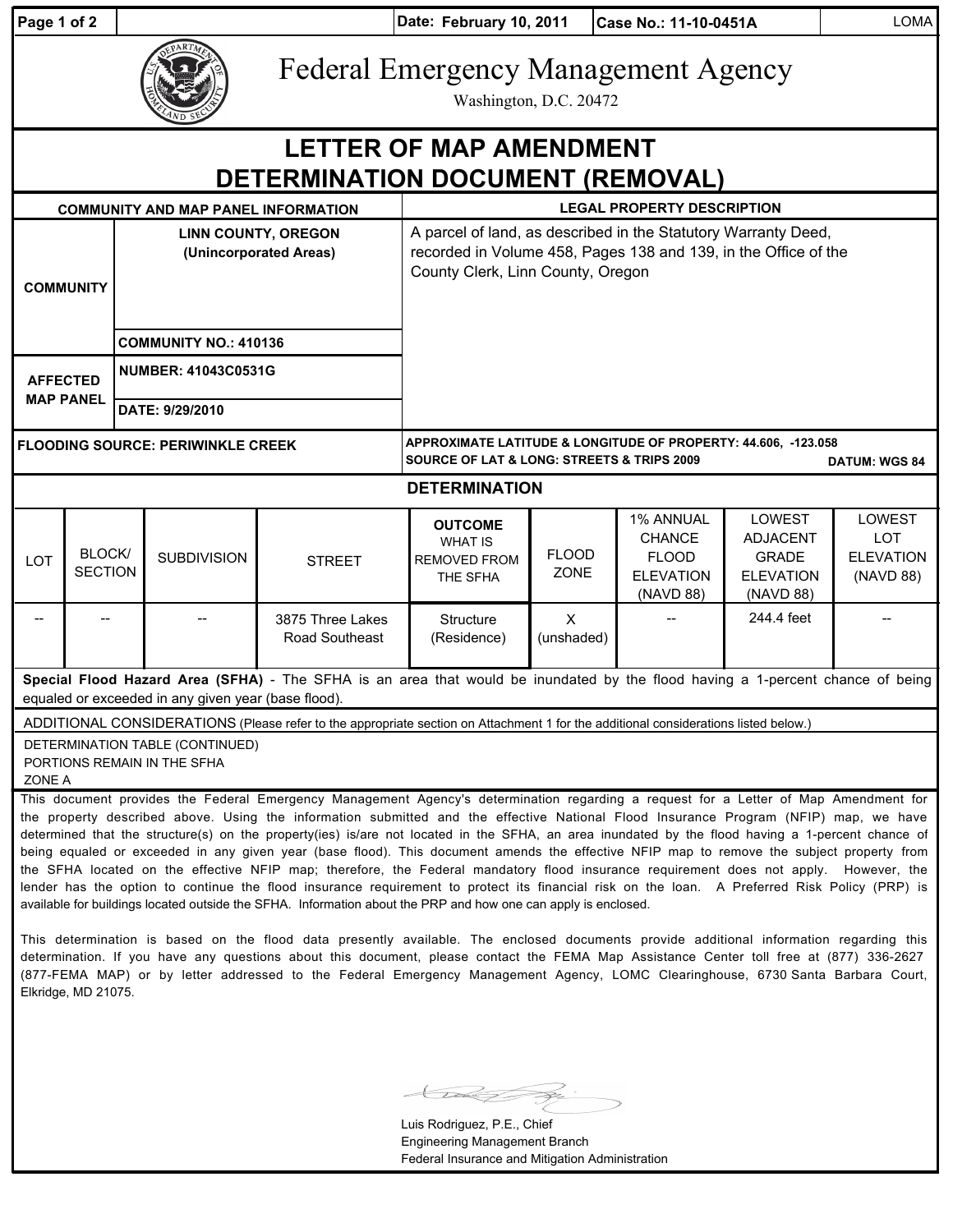| Page 1 of 2                                                              |                          | Date: February 10, 2011<br>Case No.: 11-10-0451A     |                                                     |                                                                                                                                                                                                                                                                                                                                                                                                                                                                                                                                                                                                                                                                                                                                                                                                                                                                                                                                                                                            |                                                                                                                                                                        |                             |                                                                                    |                                                                            |                                                              |  |  |  |
|--------------------------------------------------------------------------|--------------------------|------------------------------------------------------|-----------------------------------------------------|--------------------------------------------------------------------------------------------------------------------------------------------------------------------------------------------------------------------------------------------------------------------------------------------------------------------------------------------------------------------------------------------------------------------------------------------------------------------------------------------------------------------------------------------------------------------------------------------------------------------------------------------------------------------------------------------------------------------------------------------------------------------------------------------------------------------------------------------------------------------------------------------------------------------------------------------------------------------------------------------|------------------------------------------------------------------------------------------------------------------------------------------------------------------------|-----------------------------|------------------------------------------------------------------------------------|----------------------------------------------------------------------------|--------------------------------------------------------------|--|--|--|
|                                                                          |                          |                                                      |                                                     | <b>Federal Emergency Management Agency</b>                                                                                                                                                                                                                                                                                                                                                                                                                                                                                                                                                                                                                                                                                                                                                                                                                                                                                                                                                 | Washington, D.C. 20472                                                                                                                                                 |                             |                                                                                    |                                                                            |                                                              |  |  |  |
| <b>LETTER OF MAP AMENDMENT</b><br>DETERMINATION DOCUMENT (REMOVAL)       |                          |                                                      |                                                     |                                                                                                                                                                                                                                                                                                                                                                                                                                                                                                                                                                                                                                                                                                                                                                                                                                                                                                                                                                                            |                                                                                                                                                                        |                             |                                                                                    |                                                                            |                                                              |  |  |  |
|                                                                          |                          |                                                      | <b>COMMUNITY AND MAP PANEL INFORMATION</b>          |                                                                                                                                                                                                                                                                                                                                                                                                                                                                                                                                                                                                                                                                                                                                                                                                                                                                                                                                                                                            | <b>LEGAL PROPERTY DESCRIPTION</b>                                                                                                                                      |                             |                                                                                    |                                                                            |                                                              |  |  |  |
| <b>COMMUNITY</b><br><b>AFFECTED</b><br><b>MAP PANEL</b>                  |                          | <b>LINN COUNTY, OREGON</b><br>(Unincorporated Areas) |                                                     |                                                                                                                                                                                                                                                                                                                                                                                                                                                                                                                                                                                                                                                                                                                                                                                                                                                                                                                                                                                            | A parcel of land, as described in the Statutory Warranty Deed,<br>recorded in Volume 458, Pages 138 and 139, in the Office of the<br>County Clerk, Linn County, Oregon |                             |                                                                                    |                                                                            |                                                              |  |  |  |
|                                                                          |                          | <b>COMMUNITY NO.: 410136</b>                         |                                                     |                                                                                                                                                                                                                                                                                                                                                                                                                                                                                                                                                                                                                                                                                                                                                                                                                                                                                                                                                                                            |                                                                                                                                                                        |                             |                                                                                    |                                                                            |                                                              |  |  |  |
|                                                                          |                          | <b>NUMBER: 41043C0531G</b>                           |                                                     |                                                                                                                                                                                                                                                                                                                                                                                                                                                                                                                                                                                                                                                                                                                                                                                                                                                                                                                                                                                            |                                                                                                                                                                        |                             |                                                                                    |                                                                            |                                                              |  |  |  |
|                                                                          |                          | DATE: 9/29/2010                                      |                                                     |                                                                                                                                                                                                                                                                                                                                                                                                                                                                                                                                                                                                                                                                                                                                                                                                                                                                                                                                                                                            |                                                                                                                                                                        |                             |                                                                                    |                                                                            |                                                              |  |  |  |
| <b>FLOODING SOURCE: PERIWINKLE CREEK</b>                                 |                          |                                                      |                                                     |                                                                                                                                                                                                                                                                                                                                                                                                                                                                                                                                                                                                                                                                                                                                                                                                                                                                                                                                                                                            | APPROXIMATE LATITUDE & LONGITUDE OF PROPERTY: 44.606, -123.058<br><b>SOURCE OF LAT &amp; LONG: STREETS &amp; TRIPS 2009</b><br><b>DATUM: WGS 84</b>                    |                             |                                                                                    |                                                                            |                                                              |  |  |  |
|                                                                          |                          |                                                      |                                                     |                                                                                                                                                                                                                                                                                                                                                                                                                                                                                                                                                                                                                                                                                                                                                                                                                                                                                                                                                                                            | <b>DETERMINATION</b>                                                                                                                                                   |                             |                                                                                    |                                                                            |                                                              |  |  |  |
| LOT                                                                      | BLOCK/<br><b>SECTION</b> |                                                      | <b>SUBDIVISION</b>                                  | <b>STREET</b>                                                                                                                                                                                                                                                                                                                                                                                                                                                                                                                                                                                                                                                                                                                                                                                                                                                                                                                                                                              | <b>OUTCOME</b><br><b>WHAT IS</b><br><b>REMOVED FROM</b><br>THE SFHA                                                                                                    | <b>FLOOD</b><br><b>ZONE</b> | <b>1% ANNUAL</b><br><b>CHANCE</b><br><b>FLOOD</b><br><b>ELEVATION</b><br>(NAVD 88) | LOWEST<br><b>ADJACENT</b><br><b>GRADE</b><br><b>ELEVATION</b><br>(NAVD 88) | <b>LOWEST</b><br><b>LOT</b><br><b>ELEVATION</b><br>(NAVD 88) |  |  |  |
|                                                                          |                          |                                                      |                                                     | 3875 Three Lakes<br>Road Southeast                                                                                                                                                                                                                                                                                                                                                                                                                                                                                                                                                                                                                                                                                                                                                                                                                                                                                                                                                         | Structure<br>(Residence)                                                                                                                                               | $\mathsf{X}$<br>(unshaded)  |                                                                                    | 244.4 feet                                                                 |                                                              |  |  |  |
|                                                                          |                          |                                                      | equaled or exceeded in any given year (base flood). | Special Flood Hazard Area (SFHA) - The SFHA is an area that would be inundated by the flood having a 1-percent chance of being                                                                                                                                                                                                                                                                                                                                                                                                                                                                                                                                                                                                                                                                                                                                                                                                                                                             |                                                                                                                                                                        |                             |                                                                                    |                                                                            |                                                              |  |  |  |
|                                                                          |                          |                                                      |                                                     | ADDITIONAL CONSIDERATIONS (Please refer to the appropriate section on Attachment 1 for the additional considerations listed below.)                                                                                                                                                                                                                                                                                                                                                                                                                                                                                                                                                                                                                                                                                                                                                                                                                                                        |                                                                                                                                                                        |                             |                                                                                    |                                                                            |                                                              |  |  |  |
| DETERMINATION TABLE (CONTINUED)<br>PORTIONS REMAIN IN THE SFHA<br>ZONE A |                          |                                                      |                                                     |                                                                                                                                                                                                                                                                                                                                                                                                                                                                                                                                                                                                                                                                                                                                                                                                                                                                                                                                                                                            |                                                                                                                                                                        |                             |                                                                                    |                                                                            |                                                              |  |  |  |
|                                                                          |                          |                                                      |                                                     | This document provides the Federal Emergency Management Agency's determination regarding a request for a Letter of Map Amendment for<br>the property described above. Using the information submitted and the effective National Flood Insurance Program (NFIP) map, we have<br>determined that the structure(s) on the property(ies) is/are not located in the SFHA, an area inundated by the flood having a 1-percent chance of<br>being equaled or exceeded in any given year (base flood). This document amends the effective NFIP map to remove the subject property from<br>the SFHA located on the effective NFIP map; therefore, the Federal mandatory flood insurance requirement does not apply. However, the<br>lender has the option to continue the flood insurance requirement to protect its financial risk on the loan. A Preferred Risk Policy (PRP) is<br>available for buildings located outside the SFHA. Information about the PRP and how one can apply is enclosed. |                                                                                                                                                                        |                             |                                                                                    |                                                                            |                                                              |  |  |  |

This determination is based on the flood data presently available. The enclosed documents provide additional information regarding this determination. If you have any questions about this document, please contact the FEMA Map Assistance Center toll free at (877) 336-2627 (877-FEMA MAP) or by letter addressed to the Federal Emergency Management Agency, LOMC Clearinghouse, 6730 Santa Barbara Court, Elkridge, MD 21075.

 $\widetilde{\phantom{a}}$ 

Luis Rodriguez, P.E., Chief Engineering Management Branch Federal Insurance and Mitigation Administration